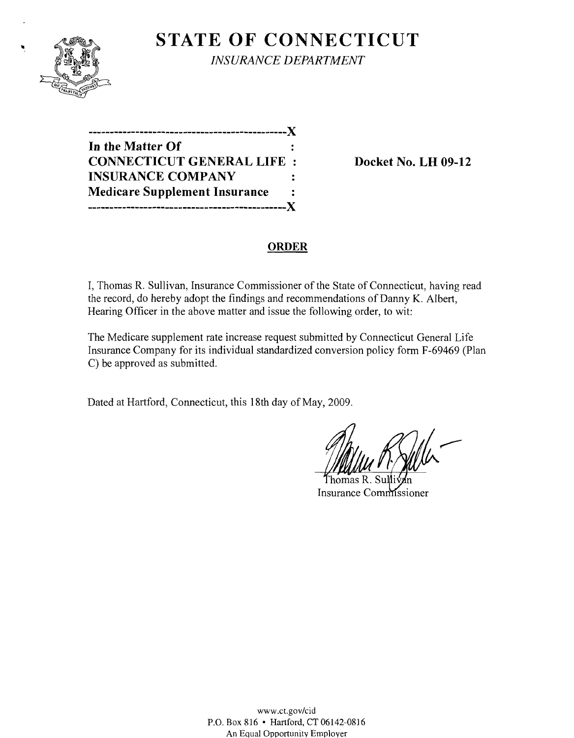

**STATE OF CONNECTICUT** *INSURANCE DEPARTMENT* 

**----------------------------------------------)( In the Matter Of CONNECTICUT GENERAL LIFE : Docket No. LH 09-12 INSURANCE COMPANY Medicare Supplement Insurance**   $\mathbf{r}$ **----------------------------------------------)(** 

#### **ORDER**

I, Thomas R. Sullivan, Insurance Commissioner of the State of Connecticut, having read the record, do hereby adopt the findings and recommendations of Danny K. Albert, Hearing Officer in the above matter and issue the following order, to wit:

The Medicare supplement rate increase request submitted by Connecticut General Life Insurance Company for its individual standardized conversion policy form F-69469 (Plan C) be approved as submitted.

Dated at Hartford, Connecticut, this 18th day of May, 2009.

Insurance Commissioner

www.ct.gov/cid P.O. Box 816 • Hartford, CT 06142-0816 An Equal Opportunity Employer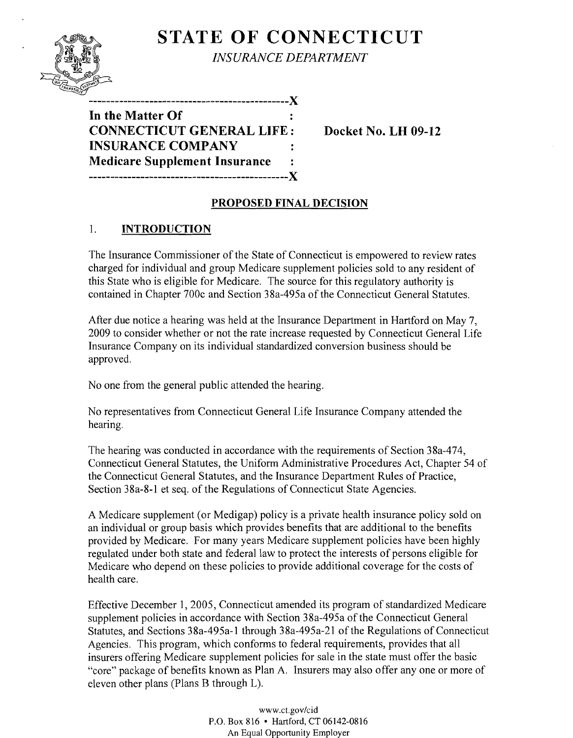# **STATE OF CONNECTICUT**



*INSURANCE DEPARTMENT* 

**In the Matter Of CONNECTICUT GENERAL LIFE: Docket No. LH 09-12 INSURANCE COMPANY Medicare Supplement Insurance ----------------------------------------------)(** 

## **PROPOSED FINAL DECISION**

## 1. **INTRODUCTION**

The Insurance Commissioner of the State of Connecticut is empowered to review rates charged for individual and group Medicare supplement policies sold to any resident of this State who is eligible for Medicare. The source for this regulatory authority is contained in Chapter 700c and Section 38a-495a of the Connecticut General Statutes.

After due notice a hearing was held at the Insurance Department in Hartford on May 7, 2009 to consider whether or not the rate increase requested by Connecticut General Life Insurance Company on its individual standardized conversion business should be approved.

No one from the general public attended the hearing.

No representatives from Connecticut General Life Insurance Company attended the hearing.

The hearing was conducted in accordance with the requirements of Section 38a-474, Connecticut General Statutes, the Uniform Administrative Procedures Act, Chapter 54 of the Connecticut General Statutes, and the Insurance Department Rules of Practice, Section 38a-8-1 et seq. of the Regulations of Connecticut State Agencies.

A Medicare supplement (or Medigap) policy is a private health insurance policy sold on an individual or group basis which provides benefits that are additional to the benefits provided by Medicare. For many years Medicare supplement policies have been highly regulated under both state and federal law to protect the interests of persons eligible for Medicare who depend on these policies to provide additional coverage for the costs of health care.

Effective December 1, 2005, Connecticut amended its program of standardized Medicare supplement policies in accordance with Section 38a-495a of the Connecticut General Statutes, and Sections 38a-495a-1 through 38a-495a-21 of the Regulations of Connecticut Agencies. This program, which conforms to federal requirements, provides that all insurers offering Medicare supplement policies for sale in the state must offer the basic "core" package of benefits known as Plan A. Insurers may also offer anyone or more of eleven other plans (Plans B through L).

> www.ct.gov/cid P.O. Box 816 • Hartford, CT 06142-0816 An Equal Opportunity Employer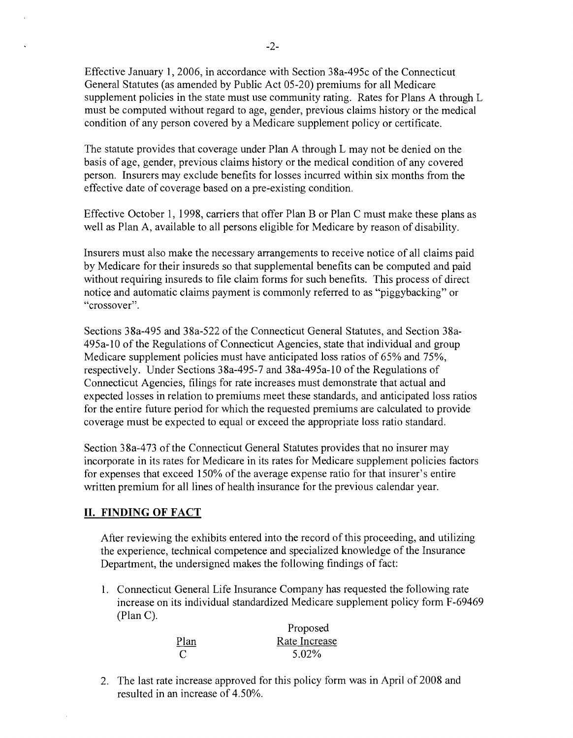Effective January 1,2006, in accordance with Section 38a-495c of the Connecticut General Statutes (as amended by Public Act 05-20) premiums for all Medicare supplement policies in the state must use community rating. Rates for Plans A through L must be computed without regard to age, gender, previous claims history or the medical condition of any person covered by a Medicare supplement policy or certificate.

The statute provides that coverage under Plan A through L may not be denied on the basis of age, gender, previous claims history or the medical condition of any covered person. Insurers may exclude benefits for losses incurred within six months from the effective date of coverage based on a pre-existing condition.

Effective October 1, 1998, carriers that offer Plan B or Plan C must make these plans as well as Plan A, available to all persons eligible for Medicare by reason of disability.

Insurers must also make the necessary arrangements to receive notice of all claims paid by Medicare for their insureds so that supplemental benefits can be computed and paid without requiring insureds to file claim forms for such benefits. This process of direct notice and automatic claims payment is commonly referred to as "piggybacking" or "crossover".

Sections 38a-495 and 38a-522 of the Connecticut General Statutes, and Section 38a-495a-10 of the Regulations of Connecticut Agencies, state that individual and group Medicare supplement policies must have anticipated loss ratios of 65% and 75%, respectively. Under Sections 38a-495-7 and 38a-495a-lO of the Regulations of Connecticut Agencies, filings for rate increases must demonstrate that actual and expected losses in relation to premiums meet these standards, and anticipated loss ratios for the entire future period for which the requested premiums are calculated to provide coverage must be expected to equal or exceed the appropriate loss ratio standard.

Section 38a-473 of the Connecticut General Statutes provides that no insurer may incorporate in its rates for Medicare in its rates for Medicare supplement policies factors for expenses that exceed 150% of the average expense ratio for that insurer's entire written premium for all lines of health insurance for the previous calendar year.

#### **II. FINDING OF FACT**

After reviewing the exhibits entered into the record of this proceeding, and utilizing the experience, technical competence and specialized knowledge of the Insurance Department, the undersigned makes the following findings of fact:

1. Connecticut General Life Insurance Company has requested the following rate increase on its individual standardized Medicare supplement policy form F-69469 (Plan C).

|             | Proposed      |
|-------------|---------------|
| <u>Plan</u> | Rate Increase |
| C           | 5.02%         |

2. The last rate increase approved for this policy form was in April of 2008 and resulted in an increase of 4.50%.